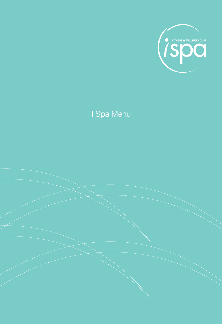

# I Spa Menu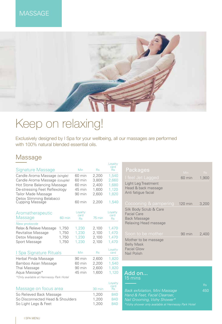### **MASSAGE**



# Keep on relaxing!

Exclusively designed by I Spa for your wellbeing, all our massages are performed with 100% natural blended essential oils.

### Massage

| Signature Massage                                  |                  | Min                          | <b>Rs</b> | card<br><b>Rs</b>            |  |
|----------------------------------------------------|------------------|------------------------------|-----------|------------------------------|--|
| Candle Aroma Massage (single)                      |                  | 60 min                       | 2,200     | 1,540                        |  |
| Candle Aroma Massage (couple)                      |                  | 60 min                       | 3,800     | 2,660                        |  |
| <b>Hot Stone Balancing Massage</b>                 |                  | 60 min                       | 2,400     | 1,680                        |  |
| De-stressing Feet Reflexology                      |                  | 45 min                       | 1,600     | 1,120                        |  |
| Tailor Made Massage                                |                  | 90 min                       | 2,600     | 1,820                        |  |
| Detox Slimming Belabacci<br><b>Cupping Massage</b> |                  | 60 min                       | 2,200     | 1,540                        |  |
| Aromatherapeutic<br>Massage                        | $60 \text{ min}$ | Loyalty<br>card<br><b>Rs</b> | 75 min    | Loyalty<br>card<br><b>Rs</b> |  |
| New protocole                                      |                  |                              |           |                              |  |
| Relax & Relieve Massage                            | 1,750            | 1,230                        | 2,100     | 1,470                        |  |
| Revitalise Massage                                 | 1,750            | 1,230                        | 2,100     | 1,470                        |  |
| Detox Massage                                      | 1,750            | 1,230                        | 2,100     | 1,470                        |  |
| Sport Massage                                      | 1,750            | 1,230                        | 2,100     | 1,470                        |  |
| I Spa Signature Rituals                            |                  | Min                          | <b>Rs</b> | Loyalty<br>card              |  |
| Herbal Pinda Massage                               |                  | 90 min                       | 2,600     | 1,820                        |  |
| Bamboo Asian Massage                               |                  | 60 min                       | 2,200     | 1,540                        |  |
| Thai Massage                                       |                  | 90 min                       | 2,600     | 1,820                        |  |
| Aqua Massage*                                      |                  | 45 min                       | 1,600     | 1,120                        |  |
| *Only available at Hennessy Park Hotel             |                  |                              |           |                              |  |

| Massage on focus area            | $30 \text{ min}$ | Lovalty<br>card<br>Rs |
|----------------------------------|------------------|-----------------------|
| So Relieved Back Massage         | 1.200            | 840                   |
| So Disconnected Head & Shoulders | 1.200            | 840                   |
| So Light Legs & Feet             | 1.200            | 840                   |

| Loyalty<br>card<br><b>Rs</b> | <b>Packages</b>                                                                              | Min.    | Rs <sup>T</sup> |
|------------------------------|----------------------------------------------------------------------------------------------|---------|-----------------|
| 1,540<br>2,660               | I feel Jet Lagged                                                                            | 60 min  | 1,900           |
| 1,680<br>1,120<br>1,820      | Light Leg Treatment<br>Head & back massage<br>Anti fatigue facial                            |         |                 |
| 1,540                        | Cocooning & pampering                                                                        | 120 min | 3,200           |
| Loyalty<br>card<br><b>Rs</b> | Silk Body Scrub & Care<br><b>Facial Care</b><br><b>Back Massage</b><br>Relaxing Head massage |         |                 |
| 1,470                        |                                                                                              |         |                 |
| 1,470<br>1,470               | Soon to be mother                                                                            | 90 min  | 2,400           |
| 1,470                        | Mother to be massage<br><b>Belly Mask</b>                                                    |         |                 |
| Loyalty<br>card              | <b>Facial Glow</b><br>Nail Polish                                                            |         |                 |
| 1,820                        |                                                                                              |         |                 |

| Add on<br>15 mins                                   |           |
|-----------------------------------------------------|-----------|
|                                                     | <b>Rs</b> |
| <b>Back exfoliation, Mini Massage</b>               | 450       |
| Hand & Feet, Facial Cleanser,                       |           |
| Nail Grooming, Vichy Shower*                        |           |
| *Vichy shower only available at Hennessy Park Hotel |           |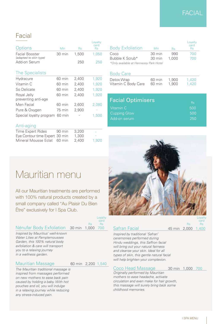### FACIAL

### Facial

| Options                | Min    | Bs:   | Lovaltv<br>card<br><b>Rs</b> | <b>Body Exfoliation</b>                | <b>Min</b>       | Rs    | .ova<br>car<br>Rs |
|------------------------|--------|-------|------------------------------|----------------------------------------|------------------|-------|-------------------|
| <b>Facial Booster</b>  | 30 min | 1.500 | 1.050                        | Coco                                   | $30 \text{ min}$ | 990   |                   |
| (adapted to skin type) |        |       |                              | Bubble K Scrub*                        | 30 min           | 1.000 |                   |
| Add-on Serum           |        | 250   | 250                          | *Only available at Hennessy Park Hotel |                  |       |                   |

| <b>Body Exfoliation</b>                | Min              | <b>Rs</b> | Loyalty<br>card<br><b>Rs</b> |
|----------------------------------------|------------------|-----------|------------------------------|
| Coco                                   | 30 min           | 990       | 700                          |
| Bubble K Scrub*                        | $30 \text{ min}$ | 1.000     | 700                          |
| *Only available at Hennessy Park Hotel |                  |           |                              |

#### The Specialists

| 60 min   | 2.400                          | 1.920 |
|----------|--------------------------------|-------|
| $60$ min | 2.400                          | 1,920 |
| 60 min   | 2,400                          | 1,920 |
| 60 min   | 2.400                          | 1,920 |
|          |                                |       |
| 60 min   | 2.600                          | 2.080 |
| 75 min   | 2,900                          |       |
|          |                                | 1,500 |
|          | Special loyalty program 60 min |       |

#### Anti-aging

| Time Expert Rides              | $90 \text{ min}$ | 3.200 |       |
|--------------------------------|------------------|-------|-------|
| Eye Contour time Expert 30 min |                  | 1.300 |       |
| Mineral Mousse Eclat 60 min    |                  | 2.400 | 1.920 |

#### Body Care

| Detox Wrap          | 60 min | 1.900 | 1.420 |
|---------------------|--------|-------|-------|
| Vitamin C Body Care | 60 min | 1.900 | 1.420 |

| <b>Facial Optimisers</b> | <b>Rs</b> |
|--------------------------|-----------|
| Vitamin C                | 500       |
| <b>Cupping Glow</b>      | 500       |
| Add-on serum             | 250       |



Safran Facial 45 min 2,000 1,400

# Mauritian menu

All our Mauritian treatments are performed with 100% natural products created by a small company called "Au Plaisir Du Bien Être" exclusively for I Spa Club.

#### Nénufar Body Exfoliation 30 min 1,000 700

|           | Loyalty |                    |                          | Loya |
|-----------|---------|--------------------|--------------------------|------|
|           | card    |                    |                          | car  |
| <b>Rs</b> |         |                    |                          | - Rs |
|           |         | $0.00 - 700 = 0.4$ | $4\Gamma$ $3.000$ $4.40$ |      |

*Inspired by Mauritius' well-known Water Lilies at Pamplemousses Garden, this 100% natural body exfoliation & care will transport you to a relaxing journey in a wellness garden.*

#### Mauritian Massage 60 min 2,200 1,540

*The Mauritian traditional massage is inspired from massages performed on new mothers to ease back pain caused by holding a baby. With hot pouches and oil, you will indulge in a relaxing journey while reducing any stress-induced pain.*

#### *types of skin, this gentle natural facial will help brighten your complexion.*

#### Coco Head Massage 30 min 1,000 700

*Inspired by traditional 'Safran' ceremonies performed during Hindu weddings, this Saffron facial will bring out your natural fairness and cleanse your skin. Ideal for all*

card<br>Rs

*Originally performed by Mauritian mothers to ease headache, activate circulation and even make for hair growth, this massage will surely bring back some childhood memories.*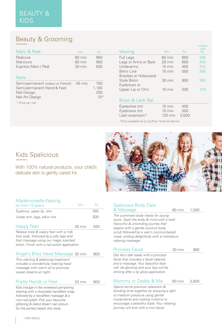### Beauty & Grooming

| Mani & Pedi                                                                                       | Min                                  | <b>Rs</b>                    |
|---------------------------------------------------------------------------------------------------|--------------------------------------|------------------------------|
| Pedicure<br>Manicure                                                                              | $60 \text{ min}$<br>$60 \text{ min}$ | 950<br>850                   |
| Express Mani / Pedi                                                                               | $30 \text{ min}$                     | 500                          |
| <b>Nails</b>                                                                                      |                                      |                              |
| Semi-permanent (colour or French)<br>Semi-permanent Hand & Feet<br>Nail Design<br>Nail Art Design | 45 min                               | 700<br>1,100<br>250<br>$10*$ |
| * Price per nail                                                                                  |                                      |                              |

| Waxing                 | <b>Min</b>       | <b>Rs</b> | oyalty.<br>card<br><b>Rs</b> |
|------------------------|------------------|-----------|------------------------------|
| <b>Full Legs</b>       | $60 \text{ min}$ | 850       | 595                          |
| Legs or Arms or Back   | $25 \text{ min}$ | 650       | 455                          |
| Underarms              | $15 \text{ min}$ | 450       | 315                          |
| <b>Bikini Line</b>     | $15 \text{ min}$ | 550       | 385                          |
| Brazilian or Hollywood |                  |           |                              |
| Style Bikini           | $30 \text{ min}$ | 850       | 595                          |
| Eyebrows or            |                  |           |                              |
| Upper Lip or Chin      | $10 \text{ min}$ | 300       | 210                          |
|                        |                  |           |                              |
| Brow & Lash Bar        |                  |           |                              |
| Eyelashes tint         | 15 min           | 400       |                              |
| Eyebrows tint          | $10 \text{ min}$ | 300       |                              |
|                        |                  |           |                              |

Lash extension\* 120 min 3,000

*\*Only available at Le Suffren Hotel & Marina*

### Kids Spalicious

With 100% natural products, your child's delicate skin is gently cared for.



|  | <b>Mademoiselle Waxing</b> |  |
|--|----------------------------|--|
|--|----------------------------|--|

| as from 12 years             | Min | Rs  |
|------------------------------|-----|-----|
| Eyebrow, upper lip, chin     |     | 100 |
| Under arm, legs, bikini line |     | 300 |

| <b>Happy Feet</b> | $30 \text{ min}$ | 550 |
|-------------------|------------------|-----|
|                   |                  |     |

*Relieve tired & weary feet with a milk foot soak, followed by a jolly legs and foot massage using our magic scented lotion. Finish with a nail polish application.*

#### Angel's Bliss Head Massage 30 min 900

*This calming & balancing treatment includes a wonderfully relaxing head massage with warm oil to promote sweet dreams at night.*

#### Pretty Hands or Feet 20 min 900

*Kids indulge in the sweetest pampering starting with a chocolate hand/feet wrap, followed by a hand/feet massage & a mini nail polish. Pick your favourite glittering & island dream nail colours for the perfect beach chic style.*

Spalicious Body Care  $\alpha$  Massage  $\alpha$  60 min 1,500 *The yummiest body treats for young souls. Spoil the body & mind with a total flavourful & unwinding journey that begins with a gentle coconut body scrub followed by a warm coconut-based mask, ending delightfully with a melodious relaxing massage.* Princess Facial 30 min 990 *Get fairy tale ready with a princess facial that includes a facial cleanse and a massage. Your beautiful face will be glowing and your lips will be* 

#### Mommy or Daddy  $\&$  Me 60 min 2,600

*shining after a lip gloss application.*

*Spend some precious relaxation & bonding time together by enjoying a light to medium pressure using gentle movements and rocking motions to encourage a peaceful state. Your relaxing journey will end with a mini facial.*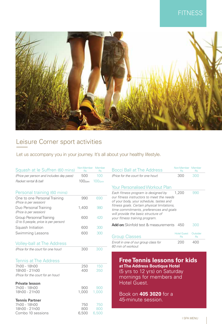### **FITNESS**



### Leisure Corner sport activities

Let us accompany you in your journey. It's all about your healthy lifestyle.

| Squash at le Suffren (60 mins)                                   | Non-Member Member<br><b>Rs</b> | <b>Rs</b>  | <b>Bocci Ball at The Address</b>                                                                                               | Non-Member Member<br><b>Rs</b>  | <b>Rs</b>             |
|------------------------------------------------------------------|--------------------------------|------------|--------------------------------------------------------------------------------------------------------------------------------|---------------------------------|-----------------------|
| (Price per person and includes day pass)                         | 500                            | 100        | (Price for the court for one hour)                                                                                             | 300                             | 300                   |
| Racket rental & ball                                             | $100$ /pax                     | $100$ /pax |                                                                                                                                |                                 |                       |
|                                                                  |                                |            | <b>Your Personalised Workout Plan</b>                                                                                          |                                 |                       |
| Personal training (60 mins)                                      |                                |            | Each fitness program is designed by                                                                                            | 1,200                           | 990                   |
| One to one Personal Training<br>(Price is per session)           | 990                            | 690        | our fitness instructors to meet the needs<br>of your body, your schedule, tastes and                                           |                                 |                       |
| Duo Personal Training<br>(Price is per session)                  | 1,400                          | 980        | fitness goals. Certain physical limitations,<br>time commitments, preferences and goals<br>will provide the basic structure of |                                 |                       |
| Group Personnal Training<br>(3 to 5 people, price is per person) | 600                            | 420        | your fitness training program.                                                                                                 |                                 |                       |
| Squash Initiation                                                | 600                            | 300        | <b>Add on:</b> Skinfold test & measurements                                                                                    | - 450                           | 300                   |
| Swimming Lessons                                                 | 600                            | 300        | <b>Group Classes</b>                                                                                                           | <b>Hotel Guest</b><br><b>Rs</b> | Outsider<br><b>Rs</b> |
| <b>Volley-ball at The Address</b>                                |                                |            | Enroll in one of our group class for<br>60 min of workout                                                                      | 200                             | 400                   |
| (Price for the court for one hour)                               | 300                            | 300        |                                                                                                                                |                                 |                       |
| <b>Tennis at The Address</b>                                     |                                |            | <b>Free Tennis lessons for kids</b>                                                                                            |                                 |                       |
| 7h00 - 18h00                                                     | 250                            | 150        | at The Address Boutique Hotel                                                                                                  |                                 |                       |
| 18h00 - 21h00                                                    | 400                            | 350        | (5 yrs to 12 yrs) on Saturday                                                                                                  |                                 |                       |
| (Price for the court for an hour)                                |                                |            | mornings for members and                                                                                                       |                                 |                       |
| <b>Private lesson</b>                                            |                                |            | <b>Hotel Guest.</b>                                                                                                            |                                 |                       |
| 7h00 - 18h00                                                     | 900                            | 900        |                                                                                                                                |                                 |                       |
| 18h00 - 21h00                                                    | 1,000                          | 1,000      | Book on <b>405 3020</b> for a                                                                                                  |                                 |                       |
| <b>Tennis Partner</b>                                            |                                |            | 45-minute session.                                                                                                             |                                 |                       |
| 7h00 - 18h00                                                     | 750                            | 750        |                                                                                                                                |                                 |                       |
| 18h00 - 21h00                                                    | 800                            | 800        |                                                                                                                                |                                 |                       |
| Combo 10 sessions                                                | 6,500                          | 6,500      |                                                                                                                                |                                 |                       |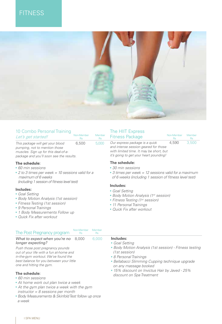### **FITNESS**



| 10 Combo Personal Training                                                                                                                            | Non-Member | Member    | The HIIT Express                                                                                                                                            | Non-Member | Member |
|-------------------------------------------------------------------------------------------------------------------------------------------------------|------------|-----------|-------------------------------------------------------------------------------------------------------------------------------------------------------------|------------|--------|
| Let's get started!                                                                                                                                    | <b>Rs</b>  | <b>Rs</b> | <b>Fitness Package</b>                                                                                                                                      | <b>Rs</b>  | Rs.    |
| This package will get your blood<br>pumping, not to mention those<br>muscles. Sign up for this deal-of-a-<br>package and you'll soon see the results. | 6.500      | 5,000     | Our express package is a quick<br>and intense session geared for those<br>with limited time. It may be short, but<br>it's going to get your heart pounding! | 4.590      | 3.500  |

#### **The schedule:**

- *60 min sessions*
- *2 to 3 times per week = 10 sessions valid for a maximum of 6 weeks (including 1 session of fitness level test)*

#### **Includes:**

- *Goal Setting*
- *Body Motion Analysis (1st session)*
- *Fitness Testing (1st session)*
- *9 Personal Trainings*
- *1 Body Measurements Follow up*
- *Quick Fix after workout*

#### **The schedule:**

- *30 min sessions*
- *3 times per week = 12 sessions valid for a maximum of 6 weeks (including 1 session of fitness level test)*

#### **Includes:**

- *Goal Setting*
- *Body Motion Analysis (1st session)*
- *Fitness Testing (1st session)*
- *11 Personal Trainings*
- *Quick Fix after workout*

| The Post Pregnancy program                                                                                                                                                                 | Non-Member<br><b>Rs</b> | Memher<br><b>Rs</b> |                                                                                                                                                                               |
|--------------------------------------------------------------------------------------------------------------------------------------------------------------------------------------------|-------------------------|---------------------|-------------------------------------------------------------------------------------------------------------------------------------------------------------------------------|
| What to expect when you're no 8,000<br>longer expecting?                                                                                                                                   |                         | 6.000               | Includes:<br>• Goal Setting                                                                                                                                                   |
| Push those post pregnancy pounds<br>out of your life with a fun at-home and<br>in-the-gym workout. We've found the<br>best balance for you between your little<br>one and hitting the gym. |                         |                     | • Body Motion Analysis (1st session) - Fitness testing<br>(1st session)<br>• 8 Personal Trainings<br>• Bellabacci Slimming Cupping technique upgrade<br>on any massage booked |

• *15% discount on Invictus Hair by Javed - 25% discount on Spa Treatment*

#### **The schedule:** • *60 min sessions*

- *At home work out plan twice a week*
- *At the gym plan twice a week with the gym instructor = 8 sessions per month*
- *Body Measurements & Skinfold Test follow up once a week*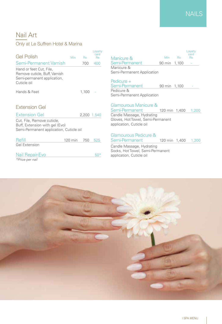### Nail Art

#### Only at Le Suffren Hotel & Marina

| <b>Gel Polish</b>                                                                                       | <b>Min</b> | <b>Rs</b>   | Loyalty<br>card<br><b>Rs</b> |
|---------------------------------------------------------------------------------------------------------|------------|-------------|------------------------------|
| Semi-Permanent Varnish                                                                                  |            | 700         | 400                          |
| Hand or feet Cut, File,<br>Remove cuticle, Buff, Varnish<br>Semi-permanent application,<br>Cuticle oil  |            |             |                              |
| Hands & Feet                                                                                            |            | 1,100       |                              |
| Extension Gel                                                                                           |            |             |                              |
| <b>Extension Gel</b>                                                                                    |            | 2,200 1,540 |                              |
| Cut, File, Remove cuticle,<br>Buff, Extension with gel (Evo)<br>Semi-Permanent application, Cuticle oil |            |             |                              |
| Refill                                                                                                  | 120 min    | 750         | 525                          |
| <b>Gel Extension</b>                                                                                    |            |             |                              |

| Nail Repair-Evo |  |
|-----------------|--|
| *Price per nail |  |

#### Rs Rs Manicure & Min Rs Rs Semi-Permanent 90 min 1,100 -Manicure & Semi-Permanent Application Pedicure + Semi-Permanent 90 min 1,100 Pedicure & Semi-Permanent Application Min Rs Rs Manicure & Min Loyalty card

Glamourous Manicure & 120 min 1,400 1,200 Candle Massage, Hydrating Gloves, Hot Towel, Semi-Permanent application, Cuticle oil

#### Glamourous Pedicure & Semi-Permanent 120 min 1,400 1,200

Candle Massage, Hydrating Socks, Hot Towel, Semi-Permanent application, Cuticle oil